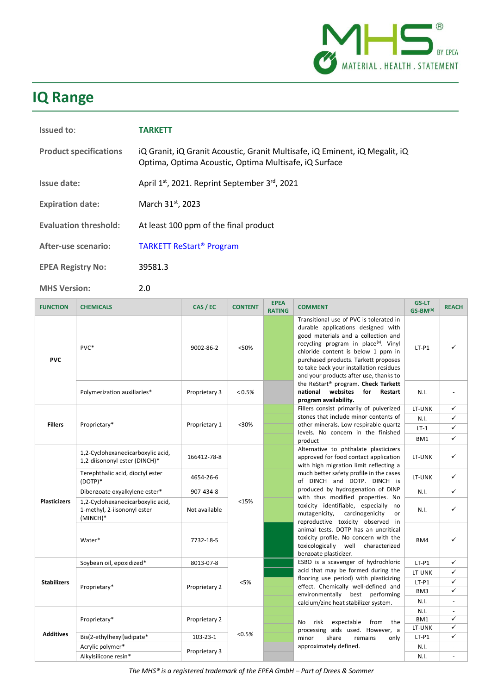

# **IQ Range**

| Issued to:                    | <b>TARKETT</b>                                                                                                                       |
|-------------------------------|--------------------------------------------------------------------------------------------------------------------------------------|
| <b>Product specifications</b> | iQ Granit, iQ Granit Acoustic, Granit Multisafe, iQ Eminent, iQ Megalit, iQ<br>Optima, Optima Acoustic, Optima Multisafe, iQ Surface |
| Issue date:                   | April 1 <sup>st</sup> , 2021. Reprint September 3 <sup>rd</sup> , 2021                                                               |
| <b>Expiration date:</b>       | March $31st$ , 2023                                                                                                                  |
| <b>Evaluation threshold:</b>  | At least 100 ppm of the final product                                                                                                |
| After-use scenario:           | <b>TARKETT ReStart<sup>®</sup> Program</b>                                                                                           |
| <b>EPEA Registry No:</b>      | 39581.3                                                                                                                              |

**MHS Version:** 2.0

| <b>FUNCTION</b>     | <b>CHEMICALS</b>                                                             | CAS / EC                       | <b>CONTENT</b> | <b>EPEA</b><br><b>RATING</b> | <b>COMMENT</b>                                                                                                                                                                                                                                                                                                                                                                                                                                                                                                                                                    | <b>GS-LT</b><br>GS-BM(b)          | <b>REACH</b>                  |   |
|---------------------|------------------------------------------------------------------------------|--------------------------------|----------------|------------------------------|-------------------------------------------------------------------------------------------------------------------------------------------------------------------------------------------------------------------------------------------------------------------------------------------------------------------------------------------------------------------------------------------------------------------------------------------------------------------------------------------------------------------------------------------------------------------|-----------------------------------|-------------------------------|---|
| <b>PVC</b>          | PVC*                                                                         | 9002-86-2                      | <50%           |                              | Transitional use of PVC is tolerated in<br>durable applications designed with<br>good materials and a collection and<br>recycling program in place <sup>(a)</sup> . Vinyl<br>chloride content is below 1 ppm in<br>purchased products. Tarkett proposes<br>to take back your installation residues<br>and your products after use, thanks to<br>the ReStart <sup>®</sup> program. Check Tarkett<br>websites<br>national<br>for<br>Restart<br>program availability.                                                                                                | $LT-P1$                           |                               |   |
|                     | Polymerization auxiliaries*                                                  | Proprietary 3                  | $< 0.5\%$      |                              |                                                                                                                                                                                                                                                                                                                                                                                                                                                                                                                                                                   | N.I.                              |                               |   |
|                     | Proprietary*                                                                 | Proprietary 1                  | $30%$          |                              | Fillers consist primarily of pulverized<br>stones that include minor contents of<br>other minerals. Low respirable quartz<br>levels. No concern in the finished                                                                                                                                                                                                                                                                                                                                                                                                   | LT-UNK                            | ✓                             |   |
| <b>Fillers</b>      |                                                                              |                                |                |                              |                                                                                                                                                                                                                                                                                                                                                                                                                                                                                                                                                                   | N.I.                              | ✓<br>✓                        |   |
|                     |                                                                              |                                |                |                              |                                                                                                                                                                                                                                                                                                                                                                                                                                                                                                                                                                   | $LT-1$<br>BM1                     | ✓                             |   |
| <b>Plasticizers</b> | 1,2-Cyclohexanedicarboxylic acid,<br>1,2-diisononyl ester (DINCH)*           | 166412-78-8                    |                |                              | product<br>Alternative to phthalate plasticizers<br>approved for food contact application<br>with high migration limit reflecting a<br>much better safety profile in the cases<br>of DINCH and DOTP. DINCH is<br>produced by hydrogenation of DINP<br>with thus modified properties. No<br>toxicity identifiable, especially<br>no<br>carcinogenicity<br>mutagenicity,<br>or<br>reproductive toxicity observed in<br>animal tests. DOTP has an uncritical<br>toxicity profile. No concern with the<br>toxicologically well characterized<br>benzoate plasticizer. | LT-UNK                            | ✓                             |   |
|                     | Terephthalic acid, dioctyl ester<br>$(DOTP)*$                                | 4654-26-6                      |                |                              |                                                                                                                                                                                                                                                                                                                                                                                                                                                                                                                                                                   | LT-UNK                            | ✓                             |   |
|                     | Dibenzoate oxyalkylene ester*                                                | 907-434-8                      |                |                              |                                                                                                                                                                                                                                                                                                                                                                                                                                                                                                                                                                   | N.I.                              | ✓                             |   |
|                     | 1,2-Cyclohexanedicarboxylic acid,<br>1-methyl, 2-iisononyl ester<br>(MINCH)* | Not available                  | < 15%          |                              |                                                                                                                                                                                                                                                                                                                                                                                                                                                                                                                                                                   | N.I.                              | ✓                             |   |
|                     | Water*                                                                       | 7732-18-5                      |                |                              |                                                                                                                                                                                                                                                                                                                                                                                                                                                                                                                                                                   | BM4                               | ✓                             |   |
|                     | Soybean oil, epoxidized*                                                     | 8013-07-8                      | < 5%<br>< 0.5% |                              | ESBO is a scavenger of hydrochloric                                                                                                                                                                                                                                                                                                                                                                                                                                                                                                                               | $LT-P1$                           | ✓                             |   |
| <b>Stabilizers</b>  | Proprietary*<br>Proprietary*                                                 | Proprietary 2<br>Proprietary 2 |                |                              | acid that may be formed during the<br>flooring use period) with plasticizing                                                                                                                                                                                                                                                                                                                                                                                                                                                                                      | LT-UNK                            | ✓                             |   |
|                     |                                                                              |                                |                |                              | effect. Chemically well-defined and                                                                                                                                                                                                                                                                                                                                                                                                                                                                                                                               | $LT-P1$                           | ✓                             |   |
|                     |                                                                              |                                |                |                              | environmentally best performing                                                                                                                                                                                                                                                                                                                                                                                                                                                                                                                                   | BM3<br>N.I.                       | ✓<br>$\overline{\phantom{a}}$ |   |
|                     |                                                                              |                                |                |                              | calcium/zinc heat stabilizer system.                                                                                                                                                                                                                                                                                                                                                                                                                                                                                                                              | N.I.                              | $\sim$                        |   |
| <b>Additives</b>    |                                                                              |                                |                |                              | risk<br>expectable<br>No<br>from<br>the                                                                                                                                                                                                                                                                                                                                                                                                                                                                                                                           | BM1                               | ✓                             |   |
|                     |                                                                              |                                |                |                              | processing aids used. However, a                                                                                                                                                                                                                                                                                                                                                                                                                                                                                                                                  | LT-UNK                            | ✓                             |   |
|                     | Bis(2-ethylhexyl)adipate*                                                    | 103-23-1                       |                |                              |                                                                                                                                                                                                                                                                                                                                                                                                                                                                                                                                                                   | share<br>minor<br>remains<br>only | $LT-P1$                       | ✓ |
|                     | Acrylic polymer*                                                             | Proprietary 3                  |                |                              | approximately defined.                                                                                                                                                                                                                                                                                                                                                                                                                                                                                                                                            | N.I.                              |                               |   |
|                     | Alkylsilicone resin*                                                         |                                |                |                              |                                                                                                                                                                                                                                                                                                                                                                                                                                                                                                                                                                   | N.I.                              |                               |   |

*The MHS® is a registered trademark of the EPEA GmbH – Part of Drees & Sommer*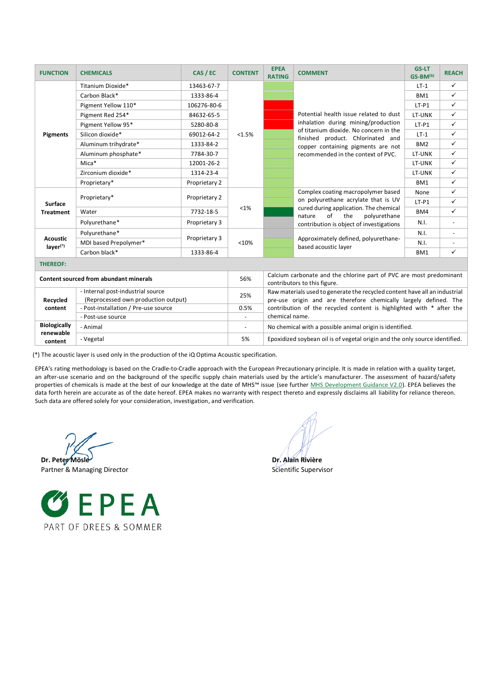| <b>FUNCTION</b>                               | <b>CHEMICALS</b>                     | CAS / EC      | <b>CONTENT</b> | <b>EPEA</b><br><b>RATING</b>                                                                                                                          | <b>COMMENT</b>                                                                                                                                                                                                                           | <b>GS-LT</b><br>$GS-BM^{(b)}$ | <b>REACH</b>             |  |  |  |  |
|-----------------------------------------------|--------------------------------------|---------------|----------------|-------------------------------------------------------------------------------------------------------------------------------------------------------|------------------------------------------------------------------------------------------------------------------------------------------------------------------------------------------------------------------------------------------|-------------------------------|--------------------------|--|--|--|--|
| <b>Pigments</b>                               | Titanium Dioxide*                    | 13463-67-7    | <1.5%          |                                                                                                                                                       | Potential health issue related to dust<br>inhalation during mining/production<br>of titanium dioxide. No concern in the<br>finished product. Chlorinated and<br>copper containing pigments are not<br>recommended in the context of PVC. | $LT-1$                        | $\checkmark$             |  |  |  |  |
|                                               | Carbon Black*                        | 1333-86-4     |                |                                                                                                                                                       |                                                                                                                                                                                                                                          | BM1                           | $\checkmark$             |  |  |  |  |
|                                               | Pigment Yellow 110*                  | 106276-80-6   |                |                                                                                                                                                       |                                                                                                                                                                                                                                          | $LT-P1$                       | $\checkmark$             |  |  |  |  |
|                                               | Pigment Red 254*                     | 84632-65-5    |                |                                                                                                                                                       |                                                                                                                                                                                                                                          | LT-UNK                        | $\checkmark$             |  |  |  |  |
|                                               | Pigment Yellow 95*                   | 5280-80-8     |                |                                                                                                                                                       |                                                                                                                                                                                                                                          | $LT-P1$                       | $\checkmark$             |  |  |  |  |
|                                               | Silicon dioxide*                     | 69012-64-2    |                |                                                                                                                                                       |                                                                                                                                                                                                                                          | $LT-1$                        | $\checkmark$             |  |  |  |  |
|                                               | Aluminum trihydrate*                 | 1333-84-2     |                |                                                                                                                                                       |                                                                                                                                                                                                                                          | BM <sub>2</sub>               | $\checkmark$             |  |  |  |  |
|                                               | Aluminum phosphate*                  | 7784-30-7     |                |                                                                                                                                                       |                                                                                                                                                                                                                                          | LT-UNK                        | $\checkmark$             |  |  |  |  |
|                                               | Mica*                                | 12001-26-2    |                |                                                                                                                                                       |                                                                                                                                                                                                                                          | LT-UNK                        | $\checkmark$             |  |  |  |  |
|                                               | Zirconium dioxide*                   | 1314-23-4     |                |                                                                                                                                                       |                                                                                                                                                                                                                                          | LT-UNK                        | $\checkmark$             |  |  |  |  |
|                                               | Proprietary*                         | Proprietary 2 |                |                                                                                                                                                       |                                                                                                                                                                                                                                          | BM1                           | $\checkmark$             |  |  |  |  |
|                                               |                                      | Proprietary 2 | <1%            |                                                                                                                                                       | Complex coating macropolymer based<br>on polyurethane acrylate that is UV<br>cured during application. The chemical<br>of<br>the<br>polyurethane<br>nature<br>contribution is object of investigations                                   | None                          | $\checkmark$             |  |  |  |  |
| <b>Surface</b>                                | Proprietary*                         |               |                |                                                                                                                                                       |                                                                                                                                                                                                                                          | $LT-P1$                       | $\checkmark$             |  |  |  |  |
| <b>Treatment</b>                              | Water                                | 7732-18-5     |                |                                                                                                                                                       |                                                                                                                                                                                                                                          | BM4                           | $\checkmark$             |  |  |  |  |
|                                               | Polyurethane*                        | Proprietary 3 |                |                                                                                                                                                       |                                                                                                                                                                                                                                          | N.I.                          | $\omega$                 |  |  |  |  |
|                                               | Polyurethane*                        | Proprietary 3 | <10%           |                                                                                                                                                       | Approximately defined, polyurethane-<br>based acoustic layer                                                                                                                                                                             | N.I.                          |                          |  |  |  |  |
| <b>Acoustic</b><br>layer <sup>(*)</sup>       | MDI based Prepolymer*                |               |                |                                                                                                                                                       |                                                                                                                                                                                                                                          | N.I.                          | $\overline{\phantom{a}}$ |  |  |  |  |
|                                               | Carbon black*                        | 1333-86-4     |                |                                                                                                                                                       |                                                                                                                                                                                                                                          | BM1                           | $\checkmark$             |  |  |  |  |
| <b>THEREOF:</b>                               |                                      |               |                |                                                                                                                                                       |                                                                                                                                                                                                                                          |                               |                          |  |  |  |  |
| <b>Content sourced from abundant minerals</b> |                                      |               | 56%            | Calcium carbonate and the chlorine part of PVC are most predominant<br>contributors to this figure.                                                   |                                                                                                                                                                                                                                          |                               |                          |  |  |  |  |
|                                               | - Internal post-industrial source    |               |                | Raw materials used to generate the recycled content have all an industrial<br>25%<br>pre-use origin and are therefore chemically largely defined. The |                                                                                                                                                                                                                                          |                               |                          |  |  |  |  |
| Recycled                                      | (Reprocessed own production output)  |               |                |                                                                                                                                                       |                                                                                                                                                                                                                                          |                               |                          |  |  |  |  |
| content                                       | - Post-installation / Pre-use source |               | 0.5%           | contribution of the recycled content is highlighted with * after the                                                                                  |                                                                                                                                                                                                                                          |                               |                          |  |  |  |  |
|                                               | - Post-use source                    |               | L,             | chemical name.                                                                                                                                        |                                                                                                                                                                                                                                          |                               |                          |  |  |  |  |
| <b>Biologically</b><br>renewable              | - Animal                             |               |                | No chemical with a possible animal origin is identified.                                                                                              |                                                                                                                                                                                                                                          |                               |                          |  |  |  |  |
| content                                       | - Vegetal                            |               | 5%             | Epoxidized soybean oil is of vegetal origin and the only source identified.                                                                           |                                                                                                                                                                                                                                          |                               |                          |  |  |  |  |

(\*) The acoustic layer is used only in the production of the iQ Optima Acoustic specification.

EPEA's rating methodology is based on the Cradle-to-Cradle approach with the European Precautionary principle. It is made in relation with a quality target, an after-use scenario and on the background of the specific supply chain materials used by the article's manufacturer. The assessment of hazard/safety properties of chemicals is made at the best of our knowledge at the date of MHS™ issue (see further [MHS Development Guidance V2.0\)](https://epea.com/fileadmin/user_upload/2.0_Leistungen/MHS_Guidance_document_V2.0___EPEA_2019.pdf). EPEA believes the data forth herein are accurate as of the date hereof. EPEA makes no warranty with respect thereto and expressly disclaims all liability for reliance thereon. Such data are offered solely for your consideration, investigation, and verification.

**Dr. Peter Mösle Dr. Alain Rivière** 



Partner & Managing Director Scientific Supervisor